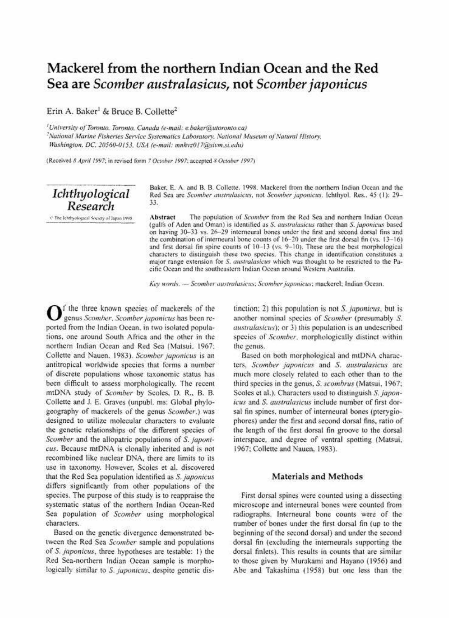## Mackerel from the northern Indian Ocean and the Red Sea are Scomber australasicus, not Scomber japonicus

Erin A. Baker<sup>1</sup> & Bruce B. Collette<sup>2</sup>

<sup>1</sup>University of Toronto, Toronto, Canada (e-mail: e.baker@utoronto.ca)

<sup>2</sup>National Marine Fisheries Service Systematics Laboratory. National Museum of Natural History. Washington, DC, 20560-0153, USA (e-mail: mnhvz017@sivm.si.edu)

(Received 8 April 1997; in revised form 7 October 1997; accepted 8 October 1997)

Ichthyological Research

Baker, E. A. and B. B. Collette. 1998. Mackerel from the northern Indian Ocean and the Red Sea are Scomber australasicus, not Scomber japonicus. Ichthyol. Res., 45 (1): 29-33.

C The Ichthyological Society of Japan 1998.

The population of Scomber from the Red Sea and northern Indian Ocean **Abstract** (gulfs of Aden and Oman) is identified as S. australasicus rather than S. japonicus based on having 30-33 vs. 26-29 interneural bones under the first and second dorsal fins and the combination of interneural bone counts of 16-20 under the first dorsal fin (vs. 13-16) and first dorsal fin spine counts of 10-13 (vs. 9-10). These are the best morphological characters to distinguish these two species. This change in identification constitutes a major range extension for S. australasicus which was thought to be restricted to the Pacific Ocean and the southeastern Indian Ocean around Western Australia.

Key words. - Scomber australasicus; Scomber japonicus; mackerel; Indian Ocean.

 $\mathbf{O}$ f the three known species of mackerels of the genus Scomber, Scomber japonicus has been reported from the Indian Ocean, in two isolated populations, one around South Africa and the other in the northern Indian Ocean and Red Sea (Matsui, 1967; Collette and Nauen, 1983). Scomber japonicus is an antitropical worldwide species that forms a number of discrete populations whose taxonomic status has been difficult to assess morphologically. The recent mtDNA study of Scomber by Scoles, D. R., B. B. Collette and J. E. Graves (unpubl. ms: Global phylogeography of mackerels of the genus Scomber.) was designed to utilize molecular characters to evaluate the genetic relationships of the different species of Scomber and the allopatric populations of S. japonicus. Because mtDNA is clonally inherited and is not recombined like nuclear DNA, there are limits to its use in taxonomy. However, Scoles et al. discovered that the Red Sea population identified as S. japonicus differs significantly from other populations of the species. The purpose of this study is to reappraise the systematic status of the northern Indian Ocean-Red Sea population of Scomber using morphological characters.

Based on the genetic divergence demonstrated between the Red Sea Scomber sample and populations of S. japonicus, three hypotheses are testable: 1) the Red Sea-northern Indian Ocean sample is morphologically similar to S. japonicus, despite genetic distinction: 2) this population is not S, *japonicus*, but is another nominal species of Scomber (presumably S. *australasicus*); or 3) this population is an undescribed species of Scomber, morphologically distinct within the genus.

Based on both morphological and mtDNA characters, Scomber japonicus and S. australasicus are much more closely related to each other than to the third species in the genus, S. scombrus (Matsui, 1967; Scoles et al.). Characters used to distinguish S. japonicus and S. australasicus include number of first dorsal fin spines, number of interneural bones (pterygiophores) under the first and second dorsal fins, ratio of the length of the first dorsal fin groove to the dorsal interspace, and degree of ventral spotting (Matsui, 1967; Collette and Nauen, 1983).

## Materials and Methods

First dorsal spines were counted using a dissecting microscope and interneural bones were counted from radiographs. Interneural bone counts were of the number of bones under the first dorsal fin (up to the beginning of the second dorsal) and under the second dorsal fin (excluding the interneurals supporting the dorsal finlets). This results in counts that are similar to those given by Murakami and Hayano (1956) and Abe and Takashima (1958) but one less than the